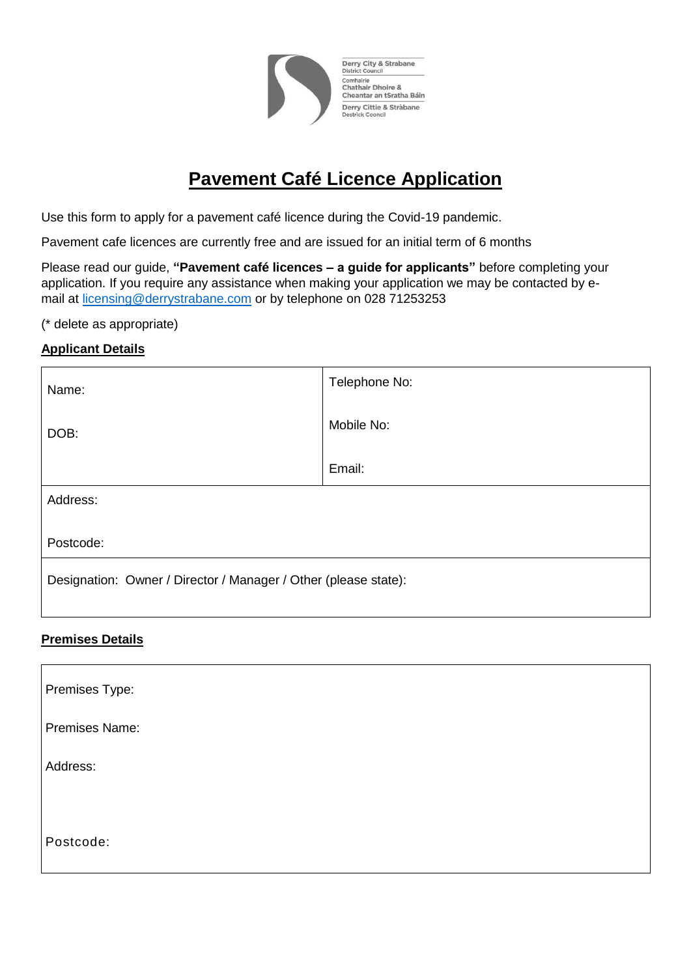

Derry City & Strabane District Council Comhairle<br>Chathair Dhoire &<br>Cheantar an tSratha Báin Derry Cittie & Stràbane<br>Destrick Cooncil

# **Pavement Café Licence Application**

Use this form to apply for a pavement café licence during the Covid-19 pandemic.

Pavement cafe licences are currently free and are issued for an initial term of 6 months

Please read our guide, **"Pavement café licences – a guide for applicants"** before completing your application. If you require any assistance when making your application we may be contacted by email at [licensing@derrystrabane.com](mailto:licensing@derrystrabane.com) or by telephone on 028 71253253

(\* delete as appropriate)

## **Applicant Details**

| Name:                                                           | Telephone No: |  |
|-----------------------------------------------------------------|---------------|--|
| DOB:                                                            | Mobile No:    |  |
|                                                                 | Email:        |  |
| Address:                                                        |               |  |
| Postcode:                                                       |               |  |
| Designation: Owner / Director / Manager / Other (please state): |               |  |

### **Premises Details**

| Premises Type: |  |
|----------------|--|
| Premises Name: |  |
| Address:       |  |
|                |  |
| Postcode:      |  |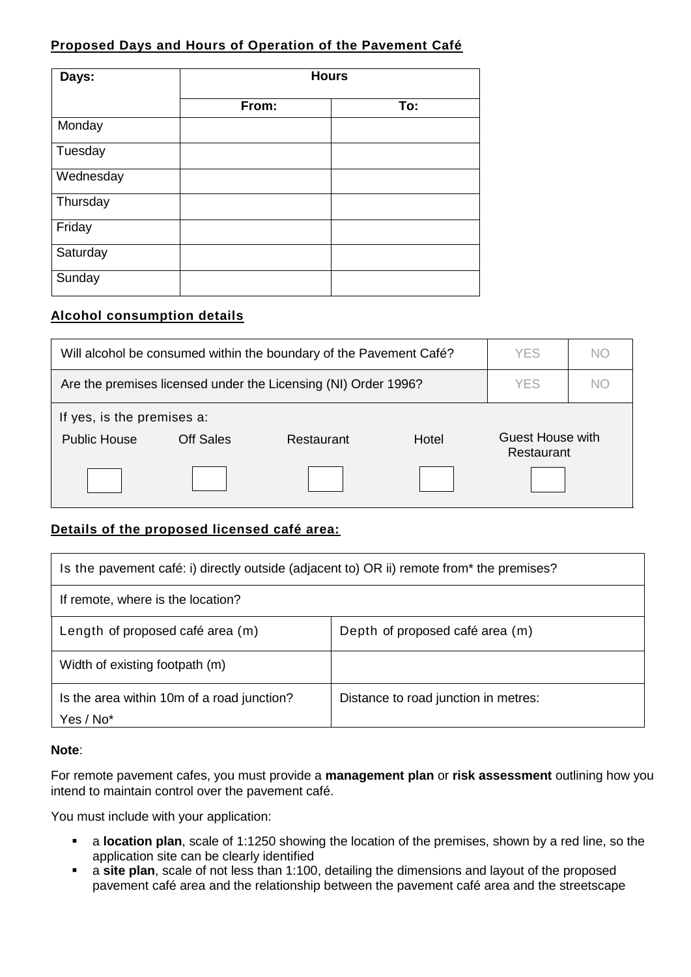## **Proposed Days and Hours of Operation of the Pavement Café**

| Days:     | <b>Hours</b> |     |  |
|-----------|--------------|-----|--|
|           | From:        | To: |  |
| Monday    |              |     |  |
| Tuesday   |              |     |  |
| Wednesday |              |     |  |
| Thursday  |              |     |  |
| Friday    |              |     |  |
| Saturday  |              |     |  |
| Sunday    |              |     |  |

#### **Alcohol consumption details**

| Will alcohol be consumed within the boundary of the Pavement Café?                                                             |  |  | <b>YES</b> | NС  |  |
|--------------------------------------------------------------------------------------------------------------------------------|--|--|------------|-----|--|
| Are the premises licensed under the Licensing (NI) Order 1996?                                                                 |  |  | YES        | NC. |  |
| If yes, is the premises a:<br><b>Guest House with</b><br>Off Sales<br>Hotel<br><b>Public House</b><br>Restaurant<br>Restaurant |  |  |            |     |  |
|                                                                                                                                |  |  |            |     |  |

## **Details of the proposed licensed café area:**

| Is the pavement café: i) directly outside (adjacent to) OR ii) remote from* the premises? |                                      |  |
|-------------------------------------------------------------------------------------------|--------------------------------------|--|
| If remote, where is the location?                                                         |                                      |  |
| Length of proposed café area (m)                                                          | Depth of proposed café area (m)      |  |
| Width of existing footpath (m)                                                            |                                      |  |
| Is the area within 10m of a road junction?<br>Yes / No*                                   | Distance to road junction in metres: |  |

#### **Note**:

For remote pavement cafes, you must provide a **management plan** or **risk assessment** outlining how you intend to maintain control over the pavement café.

You must include with your application:

- a **location plan**, scale of 1:1250 showing the location of the premises, shown by a red line, so the application site can be clearly identified
- a **site plan**, scale of not less than 1:100, detailing the dimensions and layout of the proposed pavement café area and the relationship between the pavement café area and the streetscape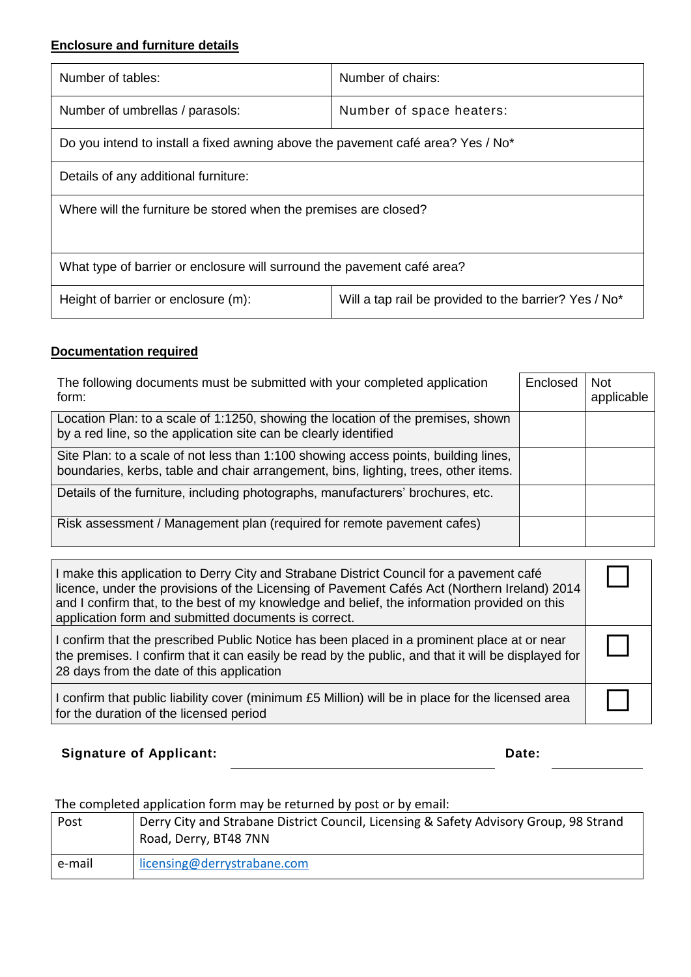## **Enclosure and furniture details**

| Number of tables:                                                               | Number of chairs:                                     |  |  |
|---------------------------------------------------------------------------------|-------------------------------------------------------|--|--|
| Number of umbrellas / parasols:                                                 | Number of space heaters:                              |  |  |
| Do you intend to install a fixed awning above the pavement café area? Yes / No* |                                                       |  |  |
| Details of any additional furniture:                                            |                                                       |  |  |
| Where will the furniture be stored when the premises are closed?                |                                                       |  |  |
|                                                                                 |                                                       |  |  |
| What type of barrier or enclosure will surround the pavement café area?         |                                                       |  |  |
| Height of barrier or enclosure (m):                                             | Will a tap rail be provided to the barrier? Yes / No* |  |  |

## **Documentation required**

| The following documents must be submitted with your completed application<br>form:                                                                                         | Enclosed | <b>Not</b><br>applicable |
|----------------------------------------------------------------------------------------------------------------------------------------------------------------------------|----------|--------------------------|
| Location Plan: to a scale of 1:1250, showing the location of the premises, shown<br>by a red line, so the application site can be clearly identified                       |          |                          |
| Site Plan: to a scale of not less than 1:100 showing access points, building lines,<br>boundaries, kerbs, table and chair arrangement, bins, lighting, trees, other items. |          |                          |
| Details of the furniture, including photographs, manufacturers' brochures, etc.                                                                                            |          |                          |
| Risk assessment / Management plan (required for remote pavement cafes)                                                                                                     |          |                          |

| I make this application to Derry City and Strabane District Council for a pavement café<br>licence, under the provisions of the Licensing of Pavement Cafés Act (Northern Ireland) 2014<br>and I confirm that, to the best of my knowledge and belief, the information provided on this<br>application form and submitted documents is correct. |  |
|-------------------------------------------------------------------------------------------------------------------------------------------------------------------------------------------------------------------------------------------------------------------------------------------------------------------------------------------------|--|
| I confirm that the prescribed Public Notice has been placed in a prominent place at or near<br>the premises. I confirm that it can easily be read by the public, and that it will be displayed for<br>28 days from the date of this application                                                                                                 |  |
| I confirm that public liability cover (minimum £5 Million) will be in place for the licensed area<br>for the duration of the licensed period                                                                                                                                                                                                    |  |

**Signature of Applicant: Date: Date: Date: Date:** 

The completed application form may be returned by post or by email:

| Post   | Derry City and Strabane District Council, Licensing & Safety Advisory Group, 98 Strand<br>Road, Derry, BT48 7NN |
|--------|-----------------------------------------------------------------------------------------------------------------|
| e-mail | licensing@derrystrabane.com                                                                                     |